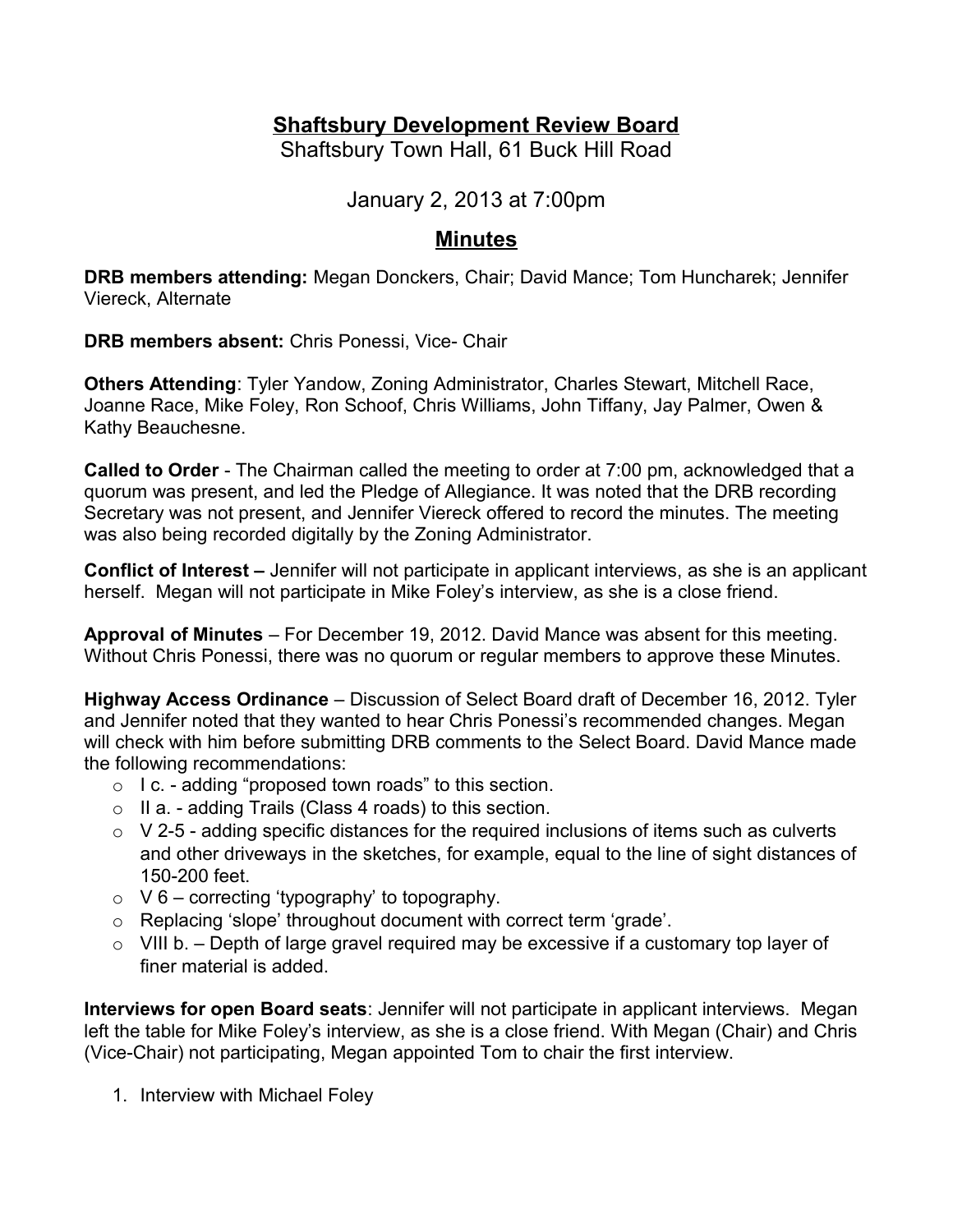# **Shaftsbury Development Review Board**

Shaftsbury Town Hall, 61 Buck Hill Road

January 2, 2013 at 7:00pm

# **Minutes**

**DRB members attending:** Megan Donckers, Chair; David Mance; Tom Huncharek; Jennifer Viereck, Alternate

**DRB members absent:** Chris Ponessi, Vice- Chair

**Others Attending**: Tyler Yandow, Zoning Administrator, Charles Stewart, Mitchell Race, Joanne Race, Mike Foley, Ron Schoof, Chris Williams, John Tiffany, Jay Palmer, Owen & Kathy Beauchesne.

**Called to Order** - The Chairman called the meeting to order at 7:00 pm, acknowledged that a quorum was present, and led the Pledge of Allegiance. It was noted that the DRB recording Secretary was not present, and Jennifer Viereck offered to record the minutes. The meeting was also being recorded digitally by the Zoning Administrator.

**Conflict of Interest –** Jennifer will not participate in applicant interviews, as she is an applicant herself. Megan will not participate in Mike Foley's interview, as she is a close friend.

**Approval of Minutes** – For December 19, 2012. David Mance was absent for this meeting. Without Chris Ponessi, there was no quorum or regular members to approve these Minutes.

**Highway Access Ordinance** – Discussion of Select Board draft of December 16, 2012. Tyler and Jennifer noted that they wanted to hear Chris Ponessi's recommended changes. Megan will check with him before submitting DRB comments to the Select Board. David Mance made the following recommendations:

- o I c. adding "proposed town roads" to this section.
- $\circ$  II a. adding Trails (Class 4 roads) to this section.
- $\circ$  V 2-5 adding specific distances for the required inclusions of items such as culverts and other driveways in the sketches, for example, equal to the line of sight distances of 150-200 feet.
- $\circ$  V 6 correcting 'typography' to topography.
- o Replacing 'slope' throughout document with correct term 'grade'.
- $\circ$  VIII b. Depth of large gravel required may be excessive if a customary top layer of finer material is added.

**Interviews for open Board seats**: Jennifer will not participate in applicant interviews. Megan left the table for Mike Foley's interview, as she is a close friend. With Megan (Chair) and Chris (Vice-Chair) not participating, Megan appointed Tom to chair the first interview.

1. Interview with Michael Foley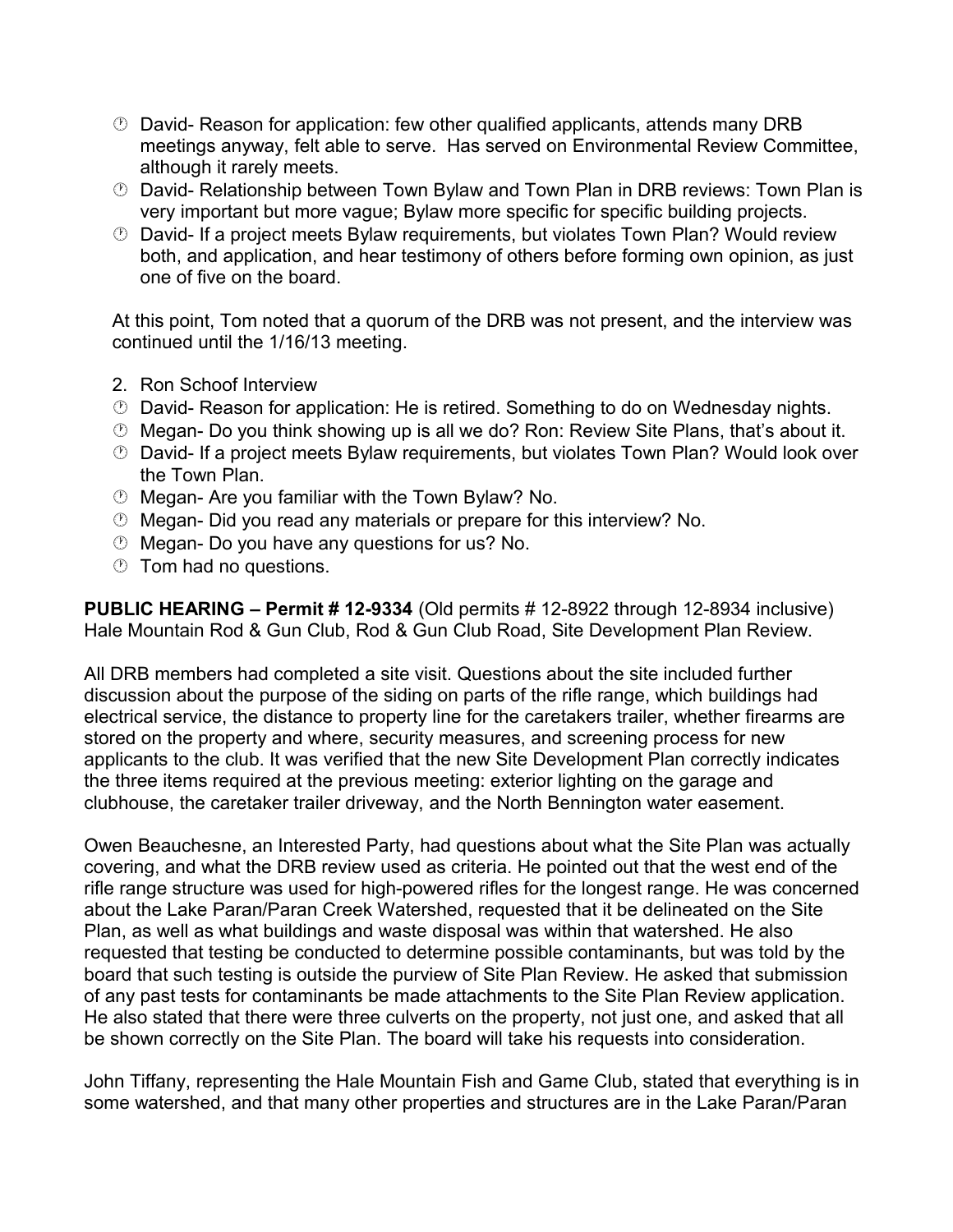- David- Reason for application: few other qualified applicants, attends many DRB meetings anyway, felt able to serve. Has served on Environmental Review Committee, although it rarely meets.
- David- Relationship between Town Bylaw and Town Plan in DRB reviews: Town Plan is very important but more vague; Bylaw more specific for specific building projects.
- David- If a project meets Bylaw requirements, but violates Town Plan? Would review both, and application, and hear testimony of others before forming own opinion, as just one of five on the board.

At this point, Tom noted that a quorum of the DRB was not present, and the interview was continued until the 1/16/13 meeting.

- 2. Ron Schoof Interview
- David- Reason for application: He is retired. Something to do on Wednesday nights.
- Megan- Do you think showing up is all we do? Ron: Review Site Plans, that's about it.
- David- If a project meets Bylaw requirements, but violates Town Plan? Would look over the Town Plan.
- Megan- Are you familiar with the Town Bylaw? No.
- Megan- Did you read any materials or prepare for this interview? No.
- Megan- Do you have any questions for us? No.
- **Tom had no questions.**

**PUBLIC HEARING – Permit # 12-9334** (Old permits # 12-8922 through 12-8934 inclusive) Hale Mountain Rod & Gun Club, Rod & Gun Club Road, Site Development Plan Review.

All DRB members had completed a site visit. Questions about the site included further discussion about the purpose of the siding on parts of the rifle range, which buildings had electrical service, the distance to property line for the caretakers trailer, whether firearms are stored on the property and where, security measures, and screening process for new applicants to the club. It was verified that the new Site Development Plan correctly indicates the three items required at the previous meeting: exterior lighting on the garage and clubhouse, the caretaker trailer driveway, and the North Bennington water easement.

Owen Beauchesne, an Interested Party, had questions about what the Site Plan was actually covering, and what the DRB review used as criteria. He pointed out that the west end of the rifle range structure was used for high-powered rifles for the longest range. He was concerned about the Lake Paran/Paran Creek Watershed, requested that it be delineated on the Site Plan, as well as what buildings and waste disposal was within that watershed. He also requested that testing be conducted to determine possible contaminants, but was told by the board that such testing is outside the purview of Site Plan Review. He asked that submission of any past tests for contaminants be made attachments to the Site Plan Review application. He also stated that there were three culverts on the property, not just one, and asked that all be shown correctly on the Site Plan. The board will take his requests into consideration.

John Tiffany, representing the Hale Mountain Fish and Game Club, stated that everything is in some watershed, and that many other properties and structures are in the Lake Paran/Paran